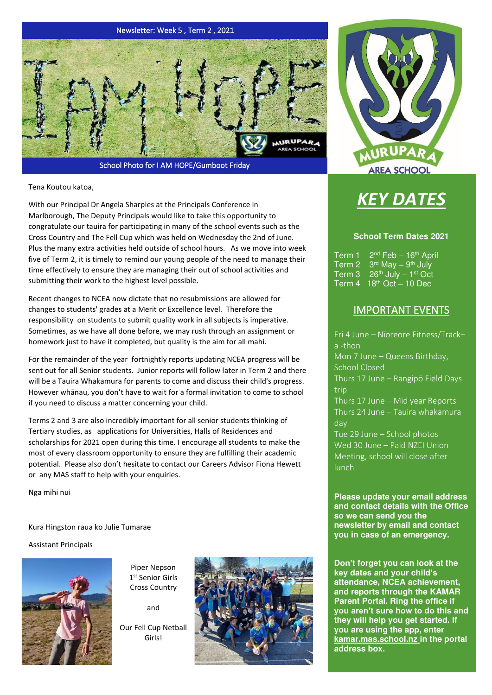

School Photo for I AM HOPE/Gumboot Friday

Tena Koutou katoa,

With our Principal Dr Angela Sharples at the Principals Conference in Marlborough, The Deputy Principals would like to take this opportunity to congratulate our tauira for participating in many of the school events such as the Cross Country and The Fell Cup which was held on Wednesday the 2nd of June. Plus the many extra activities held outside of school hours. As we move into week five of Term 2, it is timely to remind our young people of the need to manage their time effectively to ensure they are managing their out of school activities and submitting their work to the highest level possible.

Recent changes to NCEA now dictate that no resubmissions are allowed for changes to students' grades at a Merit or Excellence level. Therefore the responsibility on students to submit quality work in all subjects is imperative. Sometimes, as we have all done before, we may rush through an assignment or homework just to have it completed, but quality is the aim for all mahi.

For the remainder of the year fortnightly reports updating NCEA progress will be sent out for all Senior students. Junior reports will follow later in Term 2 and there will be a Tauira Whakamura for parents to come and discuss their child's progress. However whānau, you don't have to wait for a formal invitation to come to school if you need to discuss a matter concerning your child.

Terms 2 and 3 are also incredibly important for all senior students thinking of Tertiary studies, as applications for Universities, Halls of Residences and scholarships for 2021 open during this time. I encourage all students to make the most of every classroom opportunity to ensure they are fulfilling their academic potential. Please also don't hesitate to contact our Careers Advisor Fiona Hewett or any MAS staff to help with your enquiries.

Nga mihi nui

Kura Hingston raua ko Julie Tumarae

Assistant Principals



Piper Nepson 1 st Senior Girls Cross Country

and

Our Fell Cup Netball Girls!





# *KEY DATES*

#### **School Term Dates 2021**

 $Term 1$  $2<sup>nd</sup> Feb - 16<sup>th</sup> April$ Term 2  $3<sup>rd</sup>$  May  $-$  9<sup>th</sup> July Term  $3 \quad 26^{th}$  July  $-1^{st}$  Oct Term  $4 \overline{18^{th} \text{ Oct}} - 10 \text{ Dec}$ 

## IMPORTANT EVENTS

Fri 4 June – Nīoreore Fitness/Track– a -thon Mon 7 June – Queens Birthday, School Closed Thurs 17 June – Rangipō Field Days trip Thurs 17 June – Mid year Reports Thurs 24 June – Tauira whakamura day Tue 29 June – School photos Wed 30 June – Paid NZEI Union Meeting, school will close after lunch

**Please update your email address and contact details with the Office so we can send you the newsletter by email and contact you in case of an emergency.** 

**Don't forget you can look at the key dates and your child's attendance, NCEA achievement, and reports through the KAMAR Parent Portal. Ring the office if you aren't sure how to do this and they will help you get started. If you are using the app, enter kamar.mas.school.nz in the portal address box.**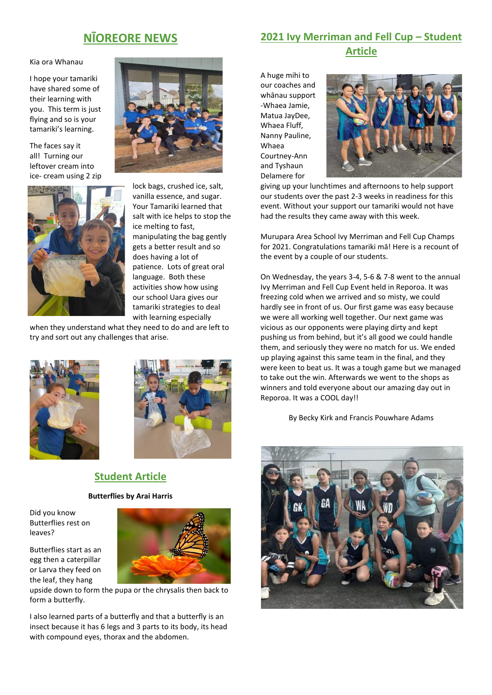## **NĪOREORE NEWS**

Kia ora Whanau

I hope your tamariki have shared some of their learning with you. This term is just flying and so is your tamariki's learning.

The faces say it all! Turning our leftover cream into ice- cream using 2 zip



lock bags, crushed ice, salt, vanilla essence, and sugar. Your Tamariki learned that salt with ice helps to stop the ice melting to fast, manipulating the bag gently gets a better result and so does having a lot of patience. Lots of great oral language. Both these activities show how using our school Uara gives our tamariki strategies to deal with learning especially

when they understand what they need to do and are left to try and sort out any challenges that arise.





## **Student Article**

#### **Butterflies by Arai Harris**

Did you know Butterflies rest on leaves?

Butterflies start as an egg then a caterpillar or Larva they feed on the leaf, they hang



upside down to form the pupa or the chrysalis then back to form a butterfly.

I also learned parts of a butterfly and that a butterfly is an insect because it has 6 legs and 3 parts to its body, its head with compound eyes, thorax and the abdomen.

## **2021 Ivy Merriman and Fell Cup – Student Article**

A huge mihi to our coaches and whānau support -Whaea Jamie, Matua JayDee, Whaea Fluff, Nanny Pauline, Whaea Courtney-Ann and Tyshaun Delamere for



giving up your lunchtimes and afternoons to help support our students over the past 2-3 weeks in readiness for this event. Without your support our tamariki would not have had the results they came away with this week.

Murupara Area School Ivy Merriman and Fell Cup Champs for 2021. Congratulations tamariki mā! Here is a recount of the event by a couple of our students.

On Wednesday, the years 3-4, 5-6 & 7-8 went to the annual Ivy Merriman and Fell Cup Event held in Reporoa. It was freezing cold when we arrived and so misty, we could hardly see in front of us. Our first game was easy because we were all working well together. Our next game was vicious as our opponents were playing dirty and kept pushing us from behind, but it's all good we could handle them, and seriously they were no match for us. We ended up playing against this same team in the final, and they were keen to beat us. It was a tough game but we managed to take out the win. Afterwards we went to the shops as winners and told everyone about our amazing day out in Reporoa. It was a COOL day!!

By Becky Kirk and Francis Pouwhare Adams

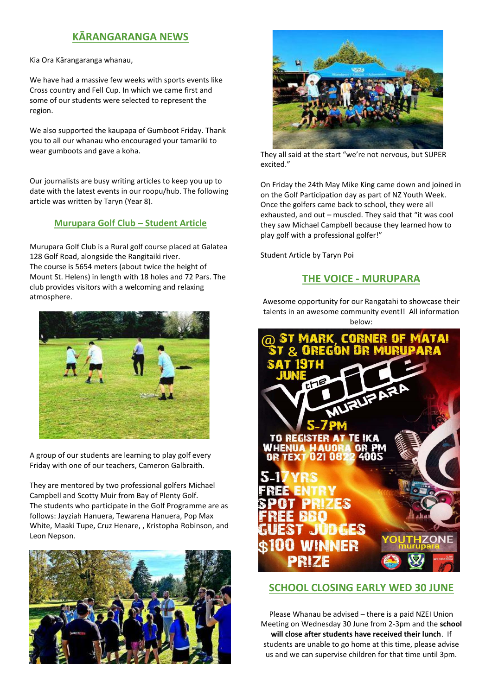## **KĀRANGARANGA NEWS**

Kia Ora Kārangaranga whanau,

We have had a massive few weeks with sports events like Cross country and Fell Cup. In which we came first and some of our students were selected to represent the region.

We also supported the kaupapa of Gumboot Friday. Thank you to all our whanau who encouraged your tamariki to wear gumboots and gave a koha.

Our journalists are busy writing articles to keep you up to date with the latest events in our roopu/hub. The following article was written by Taryn (Year 8).

#### **Murupara Golf Club – Student Article**

Murupara Golf Club is a Rural golf course placed at Galatea 128 Golf Road, alongside the Rangitaiki river. The course is 5654 meters (about twice the height of Mount St. Helens) in length with 18 holes and 72 Pars. The club provides visitors with a welcoming and relaxing atmosphere.



A group of our students are learning to play golf every Friday with one of our teachers, Cameron Galbraith.

They are mentored by two professional golfers Michael Campbell and Scotty Muir from Bay of Plenty Golf. The students who participate in the Golf Programme are as follows: Jayziah Hanuera, Tewarena Hanuera, Pop Max White, Maaki Tupe, Cruz Henare, , Kristopha Robinson, and Leon Nepson.





They all said at the start "we're not nervous, but SUPER excited."

On Friday the 24th May Mike King came down and joined in on the Golf Participation day as part of NZ Youth Week. Once the golfers came back to school, they were all exhausted, and out – muscled. They said that "it was cool they saw Michael Campbell because they learned how to play golf with a professional golfer!"

Student Article by Taryn Poi

## **THE VOICE - MURUPARA**

Awesome opportunity for our Rangatahi to showcase their talents in an awesome community event!! All information below:



#### **SCHOOL CLOSING EARLY WED 30 JUNE**

Please Whanau be advised – there is a paid NZEI Union Meeting on Wednesday 30 June from 2-3pm and the **school will close after students have received their lunch**. If students are unable to go home at this time, please advise us and we can supervise children for that time until 3pm.